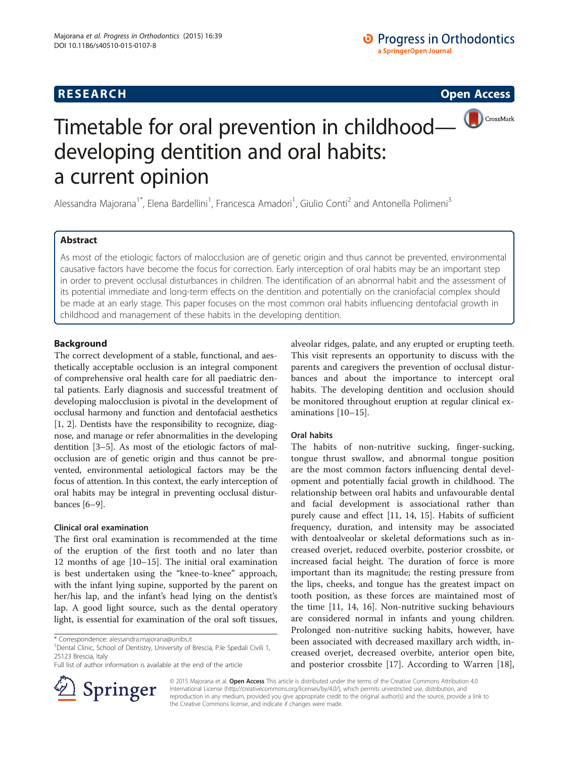# **RESEARCH RESEARCH CONSUMING ACCESS**



# Timetable for oral prevention in childhood developing dentition and oral habits: a current opinion

Alessandra Majorana<sup>1\*</sup>, Elena Bardellini<sup>1</sup>, Francesca Amadori<sup>1</sup>, Giulio Conti<sup>2</sup> and Antonella Polimeni<sup>3</sup>

# Abstract

As most of the etiologic factors of malocclusion are of genetic origin and thus cannot be prevented, environmental causative factors have become the focus for correction. Early interception of oral habits may be an important step in order to prevent occlusal disturbances in children. The identification of an abnormal habit and the assessment of its potential immediate and long-term effects on the dentition and potentially on the craniofacial complex should be made at an early stage. This paper focuses on the most common oral habits influencing dentofacial growth in childhood and management of these habits in the developing dentition.

# Background

The correct development of a stable, functional, and aesthetically acceptable occlusion is an integral component of comprehensive oral health care for all paediatric dental patients. Early diagnosis and successful treatment of developing malocclusion is pivotal in the development of occlusal harmony and function and dentofacial aesthetics [[1, 2](#page-1-0)]. Dentists have the responsibility to recognize, diagnose, and manage or refer abnormalities in the developing dentition [\[3](#page-2-0)–[5](#page-2-0)]. As most of the etiologic factors of malocclusion are of genetic origin and thus cannot be prevented, environmental aetiological factors may be the focus of attention. In this context, the early interception of oral habits may be integral in preventing occlusal disturbances [\[6](#page-2-0)–[9\]](#page-2-0).

## Clinical oral examination

The first oral examination is recommended at the time of the eruption of the first tooth and no later than 12 months of age [\[10](#page-2-0)–[15\]](#page-2-0). The initial oral examination is best undertaken using the "knee-to-knee" approach, with the infant lying supine, supported by the parent on her/his lap, and the infant's head lying on the dentist's lap. A good light source, such as the dental operatory light, is essential for examination of the oral soft tissues,

<sup>1</sup> Dental Clinic, School of Dentistry, University of Brescia, P.le Spedali Civili 1, 25123 Brescia, Italy



# Oral habits

The habits of non-nutritive sucking, finger-sucking, tongue thrust swallow, and abnormal tongue position are the most common factors influencing dental development and potentially facial growth in childhood. The relationship between oral habits and unfavourable dental and facial development is associational rather than purely cause and effect [\[11](#page-2-0), [14, 15\]](#page-2-0). Habits of sufficient frequency, duration, and intensity may be associated with dentoalveolar or skeletal deformations such as increased overjet, reduced overbite, posterior crossbite, or increased facial height. The duration of force is more important than its magnitude; the resting pressure from the lips, cheeks, and tongue has the greatest impact on tooth position, as these forces are maintained most of the time [\[11](#page-2-0), [14](#page-2-0), [16](#page-2-0)]. Non-nutritive sucking behaviours are considered normal in infants and young children. Prolonged non-nutritive sucking habits, however, have been associated with decreased maxillary arch width, increased overjet, decreased overbite, anterior open bite, and posterior crossbite [\[17](#page-2-0)]. According to Warren [\[18](#page-2-0)],



© 2015 Majorana et al. Open Access This article is distributed under the terms of the Creative Commons Attribution 4.0 International License ([http://creativecommons.org/licenses/by/4.0/\)](http://creativecommons.org/licenses/by/4.0/), which permits unrestricted use, distribution, and reproduction in any medium, provided you give appropriate credit to the original author(s) and the source, provide a link to the Creative Commons license, and indicate if changes were made.

<sup>\*</sup> Correspondence: [alessandra.majorana@unibs.it](mailto:alessandra.majorana@unibs.it) <sup>1</sup>

Full list of author information is available at the end of the article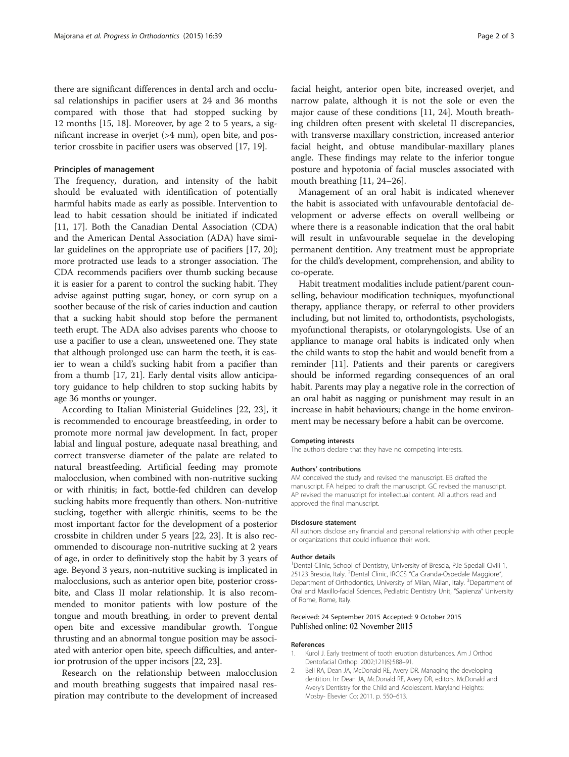<span id="page-1-0"></span>there are significant differences in dental arch and occlusal relationships in pacifier users at 24 and 36 months compared with those that had stopped sucking by 12 months [\[15, 18\]](#page-2-0). Moreover, by age 2 to 5 years, a significant increase in overjet (>4 mm), open bite, and posterior crossbite in pacifier users was observed [[17](#page-2-0), [19](#page-2-0)].

## Principles of management

The frequency, duration, and intensity of the habit should be evaluated with identification of potentially harmful habits made as early as possible. Intervention to lead to habit cessation should be initiated if indicated [[11, 17](#page-2-0)]. Both the Canadian Dental Association (CDA) and the American Dental Association (ADA) have similar guidelines on the appropriate use of pacifiers [[17](#page-2-0), [20](#page-2-0)]; more protracted use leads to a stronger association. The CDA recommends pacifiers over thumb sucking because it is easier for a parent to control the sucking habit. They advise against putting sugar, honey, or corn syrup on a soother because of the risk of caries induction and caution that a sucking habit should stop before the permanent teeth erupt. The ADA also advises parents who choose to use a pacifier to use a clean, unsweetened one. They state that although prolonged use can harm the teeth, it is easier to wean a child's sucking habit from a pacifier than from a thumb [\[17, 21](#page-2-0)]. Early dental visits allow anticipatory guidance to help children to stop sucking habits by age 36 months or younger.

According to Italian Ministerial Guidelines [\[22](#page-2-0), [23\]](#page-2-0), it is recommended to encourage breastfeeding, in order to promote more normal jaw development. In fact, proper labial and lingual posture, adequate nasal breathing, and correct transverse diameter of the palate are related to natural breastfeeding. Artificial feeding may promote malocclusion, when combined with non-nutritive sucking or with rhinitis; in fact, bottle-fed children can develop sucking habits more frequently than others. Non-nutritive sucking, together with allergic rhinitis, seems to be the most important factor for the development of a posterior crossbite in children under 5 years [\[22, 23\]](#page-2-0). It is also recommended to discourage non-nutritive sucking at 2 years of age, in order to definitively stop the habit by 3 years of age. Beyond 3 years, non-nutritive sucking is implicated in malocclusions, such as anterior open bite, posterior crossbite, and Class II molar relationship. It is also recommended to monitor patients with low posture of the tongue and mouth breathing, in order to prevent dental open bite and excessive mandibular growth. Tongue thrusting and an abnormal tongue position may be associated with anterior open bite, speech difficulties, and anterior protrusion of the upper incisors [\[22, 23](#page-2-0)].

Research on the relationship between malocclusion and mouth breathing suggests that impaired nasal respiration may contribute to the development of increased facial height, anterior open bite, increased overjet, and narrow palate, although it is not the sole or even the major cause of these conditions [\[11](#page-2-0), [24\]](#page-2-0). Mouth breathing children often present with skeletal II discrepancies, with transverse maxillary constriction, increased anterior facial height, and obtuse mandibular-maxillary planes angle. These findings may relate to the inferior tongue posture and hypotonia of facial muscles associated with mouth breathing [[11](#page-2-0), [24](#page-2-0)–[26](#page-2-0)].

Management of an oral habit is indicated whenever the habit is associated with unfavourable dentofacial development or adverse effects on overall wellbeing or where there is a reasonable indication that the oral habit will result in unfavourable sequelae in the developing permanent dentition. Any treatment must be appropriate for the child's development, comprehension, and ability to co-operate.

Habit treatment modalities include patient/parent counselling, behaviour modification techniques, myofunctional therapy, appliance therapy, or referral to other providers including, but not limited to, orthodontists, psychologists, myofunctional therapists, or otolaryngologists. Use of an appliance to manage oral habits is indicated only when the child wants to stop the habit and would benefit from a reminder [[11](#page-2-0)]. Patients and their parents or caregivers should be informed regarding consequences of an oral habit. Parents may play a negative role in the correction of an oral habit as nagging or punishment may result in an increase in habit behaviours; change in the home environment may be necessary before a habit can be overcome.

## Competing interests

The authors declare that they have no competing interests.

#### Authors' contributions

AM conceived the study and revised the manuscript. EB drafted the manuscript. FA helped to draft the manuscript. GC revised the manuscript. AP revised the manuscript for intellectual content. All authors read and approved the final manuscript.

#### Disclosure statement

All authors disclose any financial and personal relationship with other people or organizations that could influence their work.

#### Author details

<sup>1</sup> Dental Clinic, School of Dentistry, University of Brescia, P.le Spedali Civili 1, 25123 Brescia, Italy. <sup>2</sup>Dental Clinic, IRCCS "Ca Granda-Ospedale Maggiore", Department of Orthodontics, University of Milan, Milan, Italy. <sup>3</sup>Department of Oral and Maxillo-facial Sciences, Pediatric Dentistry Unit, "Sapienza" University of Rome, Rome, Italy.

## Received: 24 September 2015 Accepted: 9 October 2015 Published online: 02 November 2015

## References

- 1. Kurol J. Early treatment of tooth eruption disturbances. Am J Orthod Dentofacial Orthop. 2002;121(6):588–91.
- 2. Bell RA, Dean JA, McDonald RE, Avery DR. Managing the developing dentition. In: Dean JA, McDonald RE, Avery DR, editors. McDonald and Avery's Dentistry for the Child and Adolescent. Maryland Heights: Mosby- Elsevier Co; 2011. p. 550–613.